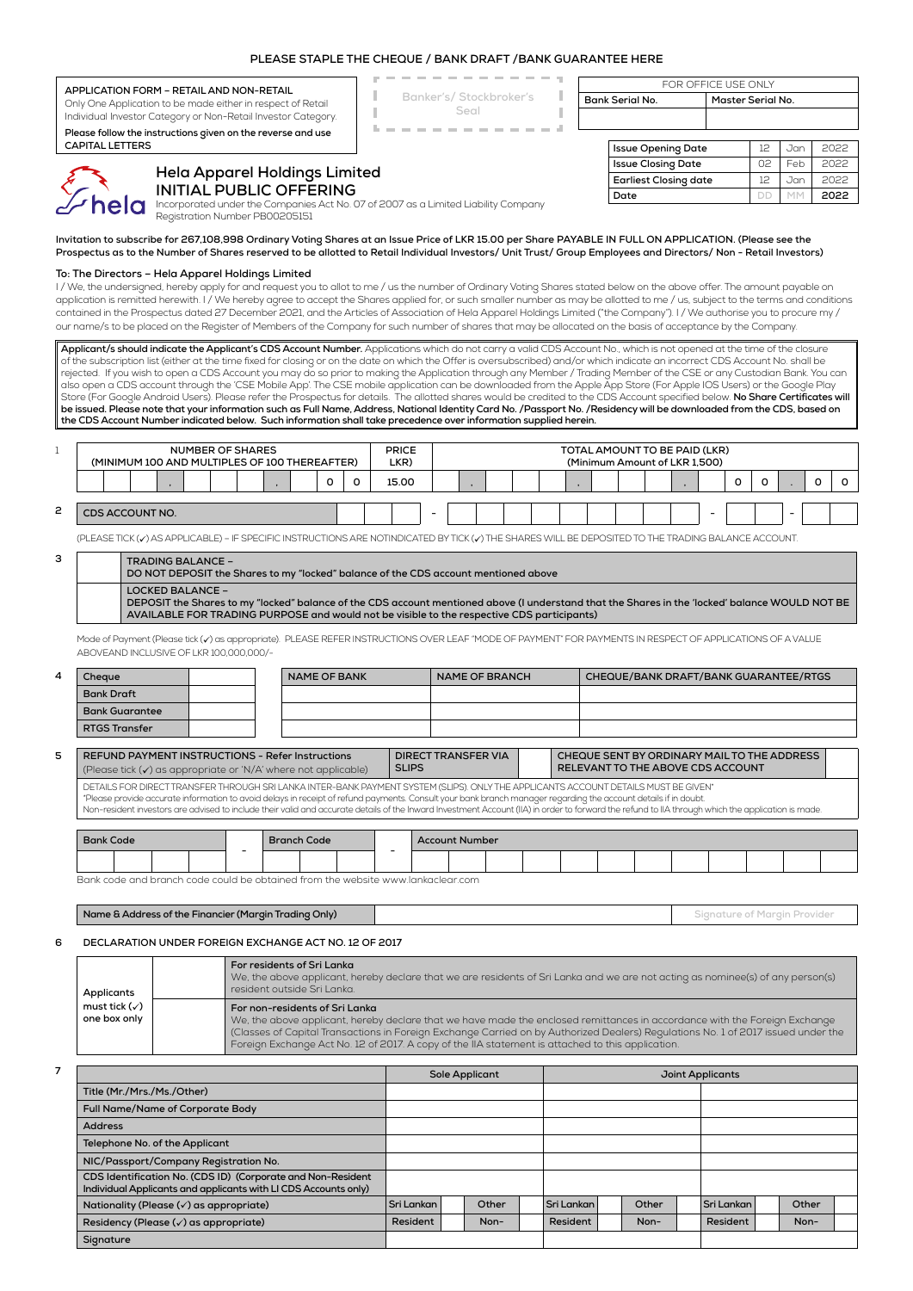| APPLICATION FORM - RETAIL AND NON-RETAIL                                                                                                                |                                                                                                                                                                                                                                                                                                                                                                                                                                                                                                                                                                                                                                                                                                                                                                                                                                                                                                                                                                                                                                                                                                                                                                                                |                                |  |                                                                                                                                                                                                    |            | Banker's/Stockbroker's<br>Seal                                                                                                  |                                                                                                                                                                                                                                                                                                        |      |                                                                                                   |                  | FOR OFFICE USE ONLY<br><b>Bank Serial No.</b> |                                                                                  |    |                              | Master Serial No.                                              |                                                                                                                                                                                                                                                                 |       |   |      |  |  |  |  |
|---------------------------------------------------------------------------------------------------------------------------------------------------------|------------------------------------------------------------------------------------------------------------------------------------------------------------------------------------------------------------------------------------------------------------------------------------------------------------------------------------------------------------------------------------------------------------------------------------------------------------------------------------------------------------------------------------------------------------------------------------------------------------------------------------------------------------------------------------------------------------------------------------------------------------------------------------------------------------------------------------------------------------------------------------------------------------------------------------------------------------------------------------------------------------------------------------------------------------------------------------------------------------------------------------------------------------------------------------------------|--------------------------------|--|----------------------------------------------------------------------------------------------------------------------------------------------------------------------------------------------------|------------|---------------------------------------------------------------------------------------------------------------------------------|--------------------------------------------------------------------------------------------------------------------------------------------------------------------------------------------------------------------------------------------------------------------------------------------------------|------|---------------------------------------------------------------------------------------------------|------------------|-----------------------------------------------|----------------------------------------------------------------------------------|----|------------------------------|----------------------------------------------------------------|-----------------------------------------------------------------------------------------------------------------------------------------------------------------------------------------------------------------------------------------------------------------|-------|---|------|--|--|--|--|
| Only One Application to be made either in respect of Retail<br>Individual Investor Category or Non-Retail Investor Category.                            |                                                                                                                                                                                                                                                                                                                                                                                                                                                                                                                                                                                                                                                                                                                                                                                                                                                                                                                                                                                                                                                                                                                                                                                                |                                |  |                                                                                                                                                                                                    |            |                                                                                                                                 |                                                                                                                                                                                                                                                                                                        |      |                                                                                                   |                  |                                               |                                                                                  |    |                              |                                                                |                                                                                                                                                                                                                                                                 |       |   |      |  |  |  |  |
|                                                                                                                                                         | Please follow the instructions given on the reverse and use                                                                                                                                                                                                                                                                                                                                                                                                                                                                                                                                                                                                                                                                                                                                                                                                                                                                                                                                                                                                                                                                                                                                    |                                |  |                                                                                                                                                                                                    |            |                                                                                                                                 |                                                                                                                                                                                                                                                                                                        |      |                                                                                                   |                  |                                               |                                                                                  |    |                              |                                                                |                                                                                                                                                                                                                                                                 |       |   |      |  |  |  |  |
|                                                                                                                                                         | <b>CAPITAL LETTERS</b>                                                                                                                                                                                                                                                                                                                                                                                                                                                                                                                                                                                                                                                                                                                                                                                                                                                                                                                                                                                                                                                                                                                                                                         |                                |  |                                                                                                                                                                                                    |            |                                                                                                                                 |                                                                                                                                                                                                                                                                                                        |      |                                                                                                   |                  |                                               |                                                                                  |    | <b>Issue Opening Date</b>    |                                                                | $12 \overline{ }$                                                                                                                                                                                                                                               | Jan   |   | 2022 |  |  |  |  |
|                                                                                                                                                         |                                                                                                                                                                                                                                                                                                                                                                                                                                                                                                                                                                                                                                                                                                                                                                                                                                                                                                                                                                                                                                                                                                                                                                                                |                                |  |                                                                                                                                                                                                    |            |                                                                                                                                 |                                                                                                                                                                                                                                                                                                        |      |                                                                                                   |                  |                                               |                                                                                  |    | <b>Issue Closing Date</b>    |                                                                | 02                                                                                                                                                                                                                                                              | Feb   |   | 2022 |  |  |  |  |
|                                                                                                                                                         | Hela Apparel Holdings Limited                                                                                                                                                                                                                                                                                                                                                                                                                                                                                                                                                                                                                                                                                                                                                                                                                                                                                                                                                                                                                                                                                                                                                                  |                                |  |                                                                                                                                                                                                    |            |                                                                                                                                 |                                                                                                                                                                                                                                                                                                        |      |                                                                                                   |                  |                                               |                                                                                  |    | <b>Earliest Closing date</b> |                                                                | 12                                                                                                                                                                                                                                                              | Jan   |   | 2022 |  |  |  |  |
| <b>INITIAL PUBLIC OFFERING</b><br>THITIAL PUBLIC UFFERITY<br>The Ign Incorporated under the Companies Act No. 07 of 2007 as a Limited Liability Company |                                                                                                                                                                                                                                                                                                                                                                                                                                                                                                                                                                                                                                                                                                                                                                                                                                                                                                                                                                                                                                                                                                                                                                                                |                                |  |                                                                                                                                                                                                    |            |                                                                                                                                 |                                                                                                                                                                                                                                                                                                        | Date |                                                                                                   |                  |                                               |                                                                                  | DD | <b>MM</b>                    |                                                                | 2022                                                                                                                                                                                                                                                            |       |   |      |  |  |  |  |
|                                                                                                                                                         |                                                                                                                                                                                                                                                                                                                                                                                                                                                                                                                                                                                                                                                                                                                                                                                                                                                                                                                                                                                                                                                                                                                                                                                                |                                |  |                                                                                                                                                                                                    |            |                                                                                                                                 |                                                                                                                                                                                                                                                                                                        |      |                                                                                                   |                  |                                               |                                                                                  |    |                              |                                                                |                                                                                                                                                                                                                                                                 |       |   |      |  |  |  |  |
|                                                                                                                                                         | Invitation to subscribe for 267,108,998 Ordinary Voting Shares at an Issue Price of LKR 15.00 per Share PAYABLE IN FULL ON APPLICATION. (Please see the                                                                                                                                                                                                                                                                                                                                                                                                                                                                                                                                                                                                                                                                                                                                                                                                                                                                                                                                                                                                                                        |                                |  |                                                                                                                                                                                                    |            |                                                                                                                                 |                                                                                                                                                                                                                                                                                                        |      |                                                                                                   |                  |                                               |                                                                                  |    |                              |                                                                |                                                                                                                                                                                                                                                                 |       |   |      |  |  |  |  |
|                                                                                                                                                         | Prospectus as to the Number of Shares reserved to be allotted to Retail Individual Investors/ Unit Trust/ Group Employees and Directors/ Non - Retail Investors)                                                                                                                                                                                                                                                                                                                                                                                                                                                                                                                                                                                                                                                                                                                                                                                                                                                                                                                                                                                                                               |                                |  |                                                                                                                                                                                                    |            |                                                                                                                                 |                                                                                                                                                                                                                                                                                                        |      |                                                                                                   |                  |                                               |                                                                                  |    |                              |                                                                |                                                                                                                                                                                                                                                                 |       |   |      |  |  |  |  |
|                                                                                                                                                         | To: The Directors - Hela Apparel Holdings Limited<br>I/We, the undersigned, hereby apply for and request you to allot to me / us the number of Ordinary Voting Shares stated below on the above offer. The amount payable on<br>application is remitted herewith. I / We hereby agree to accept the Shares applied for, or such smaller number as may be allotted to me / us, subject to the terms and conditions<br>contained in the Prospectus dated 27 December 2021, and the Articles of Association of Hela Apparel Holdings Limited ("the Company"). I / We authorise you to procure my /<br>our name/s to be placed on the Register of Members of the Company for such number of shares that may be allocated on the basis of acceptance by the Company.                                                                                                                                                                                                                                                                                                                                                                                                                                |                                |  |                                                                                                                                                                                                    |            |                                                                                                                                 |                                                                                                                                                                                                                                                                                                        |      |                                                                                                   |                  |                                               |                                                                                  |    |                              |                                                                |                                                                                                                                                                                                                                                                 |       |   |      |  |  |  |  |
|                                                                                                                                                         | Applicant/s should indicate the Applicant's CDS Account Number. Applications which do not carry a valid CDS Account No., which is not opened at the time of the closure<br>of the subscription list (either at the time fixed for closing or on the date on which the Offer is oversubscribed) and/or which indicate an incorrect CDS Account No. shall be<br>rejected. If you wish to open a CDS Account you may do so prior to making the Application through any Member / Trading Member of the CSE or any Custodian Bank. You can<br>also open a CDS account through the 'CSE Mobile App'. The CSE mobile application can be downloaded from the Apple App Store (For Apple IOS Users) or the Google Play<br>Store (For Google Android Users). Please refer the Prospectus for details. The allotted shares would be credited to the CDS Account specified below. No Share Certificates will<br>be issued. Please note that your information such as Full Name, Address, National Identity Card No. /Passport No. /Residency will be downloaded from the CDS, based on<br>the CDS Account Number indicated below. Such information shall take precedence over information supplied herein. |                                |  |                                                                                                                                                                                                    |            |                                                                                                                                 |                                                                                                                                                                                                                                                                                                        |      |                                                                                                   |                  |                                               |                                                                                  |    |                              |                                                                |                                                                                                                                                                                                                                                                 |       |   |      |  |  |  |  |
| 1                                                                                                                                                       | <b>NUMBER OF SHARES</b><br>(MINIMUM 100 AND MULTIPLES OF 100 THEREAFTER)                                                                                                                                                                                                                                                                                                                                                                                                                                                                                                                                                                                                                                                                                                                                                                                                                                                                                                                                                                                                                                                                                                                       |                                |  |                                                                                                                                                                                                    |            | <b>PRICE</b><br>LKR)                                                                                                            |                                                                                                                                                                                                                                                                                                        |      |                                                                                                   |                  |                                               |                                                                                  |    |                              | TOTAL AMOUNT TO BE PAID (LKR)<br>(Minimum Amount of LKR 1,500) |                                                                                                                                                                                                                                                                 |       |   |      |  |  |  |  |
|                                                                                                                                                         |                                                                                                                                                                                                                                                                                                                                                                                                                                                                                                                                                                                                                                                                                                                                                                                                                                                                                                                                                                                                                                                                                                                                                                                                |                                |  | 0                                                                                                                                                                                                  | o          | 15.00                                                                                                                           |                                                                                                                                                                                                                                                                                                        |      |                                                                                                   |                  |                                               |                                                                                  |    |                              |                                                                | o<br>0                                                                                                                                                                                                                                                          |       | 0 | 0    |  |  |  |  |
| 2                                                                                                                                                       | CDS ACCOUNT NO.                                                                                                                                                                                                                                                                                                                                                                                                                                                                                                                                                                                                                                                                                                                                                                                                                                                                                                                                                                                                                                                                                                                                                                                |                                |  |                                                                                                                                                                                                    |            |                                                                                                                                 |                                                                                                                                                                                                                                                                                                        |      |                                                                                                   |                  |                                               |                                                                                  |    |                              |                                                                |                                                                                                                                                                                                                                                                 |       |   |      |  |  |  |  |
|                                                                                                                                                         | (PLEASE TICK (v) AS APPLICABLE) – IF SPECIFIC INSTRUCTIONS ARE NOTINDICATED BY TICK (v) THE SHARES WILL BE DEPOSITED TO THE TRADING BALANCE ACCOUNT.                                                                                                                                                                                                                                                                                                                                                                                                                                                                                                                                                                                                                                                                                                                                                                                                                                                                                                                                                                                                                                           |                                |  |                                                                                                                                                                                                    |            |                                                                                                                                 |                                                                                                                                                                                                                                                                                                        |      |                                                                                                   |                  |                                               |                                                                                  |    |                              |                                                                |                                                                                                                                                                                                                                                                 |       |   |      |  |  |  |  |
| з                                                                                                                                                       | <b>TRADING BALANCE -</b>                                                                                                                                                                                                                                                                                                                                                                                                                                                                                                                                                                                                                                                                                                                                                                                                                                                                                                                                                                                                                                                                                                                                                                       |                                |  |                                                                                                                                                                                                    |            |                                                                                                                                 |                                                                                                                                                                                                                                                                                                        |      |                                                                                                   |                  |                                               |                                                                                  |    |                              |                                                                |                                                                                                                                                                                                                                                                 |       |   |      |  |  |  |  |
|                                                                                                                                                         | DO NOT DEPOSIT the Shares to my "locked" balance of the CDS account mentioned above<br><b>LOCKED BALANCE -</b><br>DEPOSIT the Shares to my "locked" balance of the CDS account mentioned above (I understand that the Shares in the 'locked' balance WOULD NOT BE<br>AVAILABLE FOR TRADING PURPOSE and would not be visible to the respective CDS participants)                                                                                                                                                                                                                                                                                                                                                                                                                                                                                                                                                                                                                                                                                                                                                                                                                                |                                |  |                                                                                                                                                                                                    |            |                                                                                                                                 |                                                                                                                                                                                                                                                                                                        |      |                                                                                                   |                  |                                               |                                                                                  |    |                              |                                                                |                                                                                                                                                                                                                                                                 |       |   |      |  |  |  |  |
|                                                                                                                                                         | Mode of Payment (Please tick (v) as appropriate). PLEASE REFER INSTRUCTIONS OVER LEAF "MODE OF PAYMENT" FOR PAYMENTS IN RESPECT OF APPLICATIONS OF A VALUE<br>ABOVEAND INCLUSIVE OF LKR 100,000,000/-                                                                                                                                                                                                                                                                                                                                                                                                                                                                                                                                                                                                                                                                                                                                                                                                                                                                                                                                                                                          |                                |  |                                                                                                                                                                                                    |            |                                                                                                                                 |                                                                                                                                                                                                                                                                                                        |      |                                                                                                   |                  |                                               |                                                                                  |    |                              |                                                                |                                                                                                                                                                                                                                                                 |       |   |      |  |  |  |  |
| 4                                                                                                                                                       | <b>NAME OF BANK</b><br>Cheque                                                                                                                                                                                                                                                                                                                                                                                                                                                                                                                                                                                                                                                                                                                                                                                                                                                                                                                                                                                                                                                                                                                                                                  |                                |  |                                                                                                                                                                                                    |            | <b>NAME OF BRANCH</b>                                                                                                           |                                                                                                                                                                                                                                                                                                        |      |                                                                                                   |                  |                                               | CHEQUE/BANK DRAFT/BANK GUARANTEE/RTGS                                            |    |                              |                                                                |                                                                                                                                                                                                                                                                 |       |   |      |  |  |  |  |
|                                                                                                                                                         | <b>Bank Draft</b>                                                                                                                                                                                                                                                                                                                                                                                                                                                                                                                                                                                                                                                                                                                                                                                                                                                                                                                                                                                                                                                                                                                                                                              |                                |  |                                                                                                                                                                                                    |            |                                                                                                                                 |                                                                                                                                                                                                                                                                                                        |      |                                                                                                   |                  |                                               |                                                                                  |    |                              |                                                                |                                                                                                                                                                                                                                                                 |       |   |      |  |  |  |  |
|                                                                                                                                                         | <b>Bank Guarantee</b>                                                                                                                                                                                                                                                                                                                                                                                                                                                                                                                                                                                                                                                                                                                                                                                                                                                                                                                                                                                                                                                                                                                                                                          |                                |  |                                                                                                                                                                                                    |            |                                                                                                                                 |                                                                                                                                                                                                                                                                                                        |      |                                                                                                   |                  |                                               |                                                                                  |    |                              |                                                                |                                                                                                                                                                                                                                                                 |       |   |      |  |  |  |  |
|                                                                                                                                                         | <b>RTGS Transfer</b>                                                                                                                                                                                                                                                                                                                                                                                                                                                                                                                                                                                                                                                                                                                                                                                                                                                                                                                                                                                                                                                                                                                                                                           |                                |  |                                                                                                                                                                                                    |            |                                                                                                                                 |                                                                                                                                                                                                                                                                                                        |      |                                                                                                   |                  |                                               |                                                                                  |    |                              |                                                                |                                                                                                                                                                                                                                                                 |       |   |      |  |  |  |  |
| 5                                                                                                                                                       | <b>REFUND PAYMENT INSTRUCTIONS - Refer Instructions</b><br>(Please tick $(\checkmark)$ as appropriate or 'N/A' where not applicable)                                                                                                                                                                                                                                                                                                                                                                                                                                                                                                                                                                                                                                                                                                                                                                                                                                                                                                                                                                                                                                                           |                                |  |                                                                                                                                                                                                    |            |                                                                                                                                 | DIRECT TRANSFER VIA<br><b>SLIPS</b>                                                                                                                                                                                                                                                                    |      |                                                                                                   |                  |                                               | CHEQUE SENT BY ORDINARY MAIL TO THE ADDRESS<br>RELEVANT TO THE ABOVE CDS ACCOUNT |    |                              |                                                                |                                                                                                                                                                                                                                                                 |       |   |      |  |  |  |  |
|                                                                                                                                                         |                                                                                                                                                                                                                                                                                                                                                                                                                                                                                                                                                                                                                                                                                                                                                                                                                                                                                                                                                                                                                                                                                                                                                                                                |                                |  |                                                                                                                                                                                                    |            |                                                                                                                                 | DETAILS FOR DIRECT TRANSFER THROUGH SRI LANKA INTER-BANK PAYMENT SYSTEM (SLIPS). ONLY THE APPLICANTS ACCOUNT DETAILS MUST BE GIVEN*<br>*Please provide accurate information to avoid delays in receipt of refund payments. Consult your bank branch manager regarding the account details if in doubt. |      |                                                                                                   |                  |                                               |                                                                                  |    |                              |                                                                |                                                                                                                                                                                                                                                                 |       |   |      |  |  |  |  |
|                                                                                                                                                         |                                                                                                                                                                                                                                                                                                                                                                                                                                                                                                                                                                                                                                                                                                                                                                                                                                                                                                                                                                                                                                                                                                                                                                                                |                                |  | Non-resident investors are advised to include their valid and accurate details of the Inward Investment Account (IIA) in order to forward the refund to IIA through which the application is made. |            |                                                                                                                                 |                                                                                                                                                                                                                                                                                                        |      |                                                                                                   |                  |                                               |                                                                                  |    |                              |                                                                |                                                                                                                                                                                                                                                                 |       |   |      |  |  |  |  |
|                                                                                                                                                         | <b>Bank Code</b><br><b>Branch Code</b>                                                                                                                                                                                                                                                                                                                                                                                                                                                                                                                                                                                                                                                                                                                                                                                                                                                                                                                                                                                                                                                                                                                                                         |                                |  |                                                                                                                                                                                                    |            |                                                                                                                                 | <b>Account Number</b>                                                                                                                                                                                                                                                                                  |      |                                                                                                   |                  |                                               |                                                                                  |    |                              |                                                                |                                                                                                                                                                                                                                                                 |       |   |      |  |  |  |  |
|                                                                                                                                                         |                                                                                                                                                                                                                                                                                                                                                                                                                                                                                                                                                                                                                                                                                                                                                                                                                                                                                                                                                                                                                                                                                                                                                                                                |                                |  |                                                                                                                                                                                                    |            | ÷                                                                                                                               |                                                                                                                                                                                                                                                                                                        |      |                                                                                                   |                  |                                               |                                                                                  |    |                              |                                                                |                                                                                                                                                                                                                                                                 |       |   |      |  |  |  |  |
|                                                                                                                                                         | Bank code and branch code could be obtained from the website www.lankaclear.com                                                                                                                                                                                                                                                                                                                                                                                                                                                                                                                                                                                                                                                                                                                                                                                                                                                                                                                                                                                                                                                                                                                |                                |  |                                                                                                                                                                                                    |            |                                                                                                                                 |                                                                                                                                                                                                                                                                                                        |      |                                                                                                   |                  |                                               |                                                                                  |    |                              |                                                                |                                                                                                                                                                                                                                                                 |       |   |      |  |  |  |  |
|                                                                                                                                                         | Name & Address of the Financier (Margin Trading Only)                                                                                                                                                                                                                                                                                                                                                                                                                                                                                                                                                                                                                                                                                                                                                                                                                                                                                                                                                                                                                                                                                                                                          |                                |  |                                                                                                                                                                                                    |            |                                                                                                                                 |                                                                                                                                                                                                                                                                                                        |      |                                                                                                   |                  |                                               |                                                                                  |    |                              | Signature of Margin Provider                                   |                                                                                                                                                                                                                                                                 |       |   |      |  |  |  |  |
| 6                                                                                                                                                       | DECLARATION UNDER FOREIGN EXCHANGE ACT NO. 12 OF 2017                                                                                                                                                                                                                                                                                                                                                                                                                                                                                                                                                                                                                                                                                                                                                                                                                                                                                                                                                                                                                                                                                                                                          |                                |  |                                                                                                                                                                                                    |            |                                                                                                                                 |                                                                                                                                                                                                                                                                                                        |      |                                                                                                   |                  |                                               |                                                                                  |    |                              |                                                                |                                                                                                                                                                                                                                                                 |       |   |      |  |  |  |  |
|                                                                                                                                                         |                                                                                                                                                                                                                                                                                                                                                                                                                                                                                                                                                                                                                                                                                                                                                                                                                                                                                                                                                                                                                                                                                                                                                                                                |                                |  |                                                                                                                                                                                                    |            |                                                                                                                                 |                                                                                                                                                                                                                                                                                                        |      |                                                                                                   |                  |                                               |                                                                                  |    |                              |                                                                |                                                                                                                                                                                                                                                                 |       |   |      |  |  |  |  |
|                                                                                                                                                         | For residents of Sri Lanka<br>resident outside Sri Lanka.<br>Applicants                                                                                                                                                                                                                                                                                                                                                                                                                                                                                                                                                                                                                                                                                                                                                                                                                                                                                                                                                                                                                                                                                                                        |                                |  |                                                                                                                                                                                                    |            | We, the above applicant, hereby declare that we are residents of Sri Lanka and we are not acting as nominee(s) of any person(s) |                                                                                                                                                                                                                                                                                                        |      |                                                                                                   |                  |                                               |                                                                                  |    |                              |                                                                |                                                                                                                                                                                                                                                                 |       |   |      |  |  |  |  |
|                                                                                                                                                         | must tick $(\checkmark)$<br>one box only                                                                                                                                                                                                                                                                                                                                                                                                                                                                                                                                                                                                                                                                                                                                                                                                                                                                                                                                                                                                                                                                                                                                                       | For non-residents of Sri Lanka |  |                                                                                                                                                                                                    |            |                                                                                                                                 |                                                                                                                                                                                                                                                                                                        |      | Foreign Exchange Act No. 12 of 2017. A copy of the IIA statement is attached to this application. |                  |                                               |                                                                                  |    |                              |                                                                | We, the above applicant, hereby declare that we have made the enclosed remittances in accordance with the Foreign Exchange<br>(Classes of Capital Transactions in Foreign Exchange Carried on by Authorized Dealers) Regulations No. 1 of 2017 issued under the |       |   |      |  |  |  |  |
| 7                                                                                                                                                       |                                                                                                                                                                                                                                                                                                                                                                                                                                                                                                                                                                                                                                                                                                                                                                                                                                                                                                                                                                                                                                                                                                                                                                                                | <b>Sole Applicant</b>          |  |                                                                                                                                                                                                    |            |                                                                                                                                 |                                                                                                                                                                                                                                                                                                        |      |                                                                                                   | Joint Applicants |                                               |                                                                                  |    |                              |                                                                |                                                                                                                                                                                                                                                                 |       |   |      |  |  |  |  |
|                                                                                                                                                         | Title (Mr./Mrs./Ms./Other)                                                                                                                                                                                                                                                                                                                                                                                                                                                                                                                                                                                                                                                                                                                                                                                                                                                                                                                                                                                                                                                                                                                                                                     |                                |  |                                                                                                                                                                                                    |            |                                                                                                                                 |                                                                                                                                                                                                                                                                                                        |      |                                                                                                   |                  |                                               |                                                                                  |    |                              |                                                                |                                                                                                                                                                                                                                                                 |       |   |      |  |  |  |  |
|                                                                                                                                                         | <b>Full Name/Name of Corporate Body</b>                                                                                                                                                                                                                                                                                                                                                                                                                                                                                                                                                                                                                                                                                                                                                                                                                                                                                                                                                                                                                                                                                                                                                        |                                |  |                                                                                                                                                                                                    |            |                                                                                                                                 |                                                                                                                                                                                                                                                                                                        |      |                                                                                                   |                  |                                               |                                                                                  |    |                              |                                                                |                                                                                                                                                                                                                                                                 |       |   |      |  |  |  |  |
|                                                                                                                                                         | <b>Address</b>                                                                                                                                                                                                                                                                                                                                                                                                                                                                                                                                                                                                                                                                                                                                                                                                                                                                                                                                                                                                                                                                                                                                                                                 |                                |  |                                                                                                                                                                                                    |            |                                                                                                                                 |                                                                                                                                                                                                                                                                                                        |      |                                                                                                   |                  |                                               |                                                                                  |    |                              |                                                                |                                                                                                                                                                                                                                                                 |       |   |      |  |  |  |  |
|                                                                                                                                                         | Telephone No. of the Applicant                                                                                                                                                                                                                                                                                                                                                                                                                                                                                                                                                                                                                                                                                                                                                                                                                                                                                                                                                                                                                                                                                                                                                                 |                                |  |                                                                                                                                                                                                    |            |                                                                                                                                 |                                                                                                                                                                                                                                                                                                        |      |                                                                                                   |                  |                                               |                                                                                  |    |                              |                                                                |                                                                                                                                                                                                                                                                 |       |   |      |  |  |  |  |
|                                                                                                                                                         | NIC/Passport/Company Registration No.                                                                                                                                                                                                                                                                                                                                                                                                                                                                                                                                                                                                                                                                                                                                                                                                                                                                                                                                                                                                                                                                                                                                                          |                                |  |                                                                                                                                                                                                    |            |                                                                                                                                 |                                                                                                                                                                                                                                                                                                        |      |                                                                                                   |                  |                                               |                                                                                  |    |                              |                                                                |                                                                                                                                                                                                                                                                 |       |   |      |  |  |  |  |
|                                                                                                                                                         | CDS Identification No. (CDS ID) (Corporate and Non-Resident                                                                                                                                                                                                                                                                                                                                                                                                                                                                                                                                                                                                                                                                                                                                                                                                                                                                                                                                                                                                                                                                                                                                    |                                |  |                                                                                                                                                                                                    |            |                                                                                                                                 |                                                                                                                                                                                                                                                                                                        |      |                                                                                                   |                  |                                               |                                                                                  |    |                              |                                                                |                                                                                                                                                                                                                                                                 |       |   |      |  |  |  |  |
|                                                                                                                                                         | Individual Applicants and applicants with LI CDS Accounts only)<br>Nationality (Please $(\checkmark)$ as appropriate)                                                                                                                                                                                                                                                                                                                                                                                                                                                                                                                                                                                                                                                                                                                                                                                                                                                                                                                                                                                                                                                                          |                                |  |                                                                                                                                                                                                    | Sri Lankan |                                                                                                                                 | Other                                                                                                                                                                                                                                                                                                  |      | Sri Lankan                                                                                        |                  |                                               | Other                                                                            |    | Sri Lankan                   |                                                                |                                                                                                                                                                                                                                                                 | Other |   |      |  |  |  |  |

**Residency (Please (v) as appropriate) Resident Resident Non- Resident Non- Resident Resident Non-Signature**